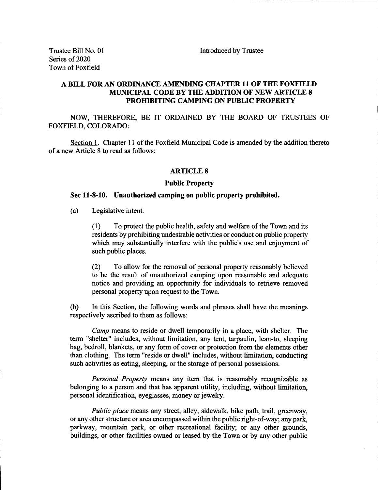## A BILL FOR AN ORDINANCE AMENDING CHAPTER <sup>11</sup> OF THE FOXFIELD MUNICIPAL CODE BY THE ADDITION OF NEW ARTICLE 8 PROHIBITING CAMPING ON PUBLIC PROPERTY

NOW, THEREFORE, BE IT ORDAINED BY THE BOARD OF TRUSTEES OF FOXFIELD, COLORADO:

Section 1. Chapter 11 of the Foxfield Municipal Code is amended by the addition thereto of <sup>a</sup> new Article <sup>8</sup> to read as follows:

## ARTICLE 8

## Public Property

## Sec 11-8-10. Unauthorized camping on public property prohibited.

a) Legislative intent.

1) To protect the public health, safety and welfare of the Town and its residents by prohibiting undesirable activities or conduct on public property which may substantially interfere with the public's use and enjoyment of such public places.

2) To allow for the removal of personal property reasonably believed to be the result of unauthorized camping upon reasonable and adequate notice and providing an opportunity for individuals to retrieve removed personal property upon request to the Town.

b) In this Section, the following words and phrases shall have the meanings respectively ascribed to them as follows:

Camp means to reside or dwell temporarily in <sup>a</sup> place, with shelter. The term "shelter" includes, without limitation, any tent, tarpaulin, lean-to, sleeping bag, bedroll, blankets, or any form of cover or protection from the elements other than clothing. The term " reside or dwell" includes, without limitation, conducting such activities as eating, sleeping, or the storage of personal possessions.

Personal Property means any item that is reasonably recognizable as belonging to a person and that has apparent utility, including, without limitation, personal identification, eyeglasses, money or jewelry.

Public place means any street, alley, sidewalk, bike path, trail, greenway, or any other structure or area encompassed within the public right-of-way; any park, parkway, mountain park, or other recreational facility; or any other grounds, buildings, or other facilities owned or leased by the Town or by any other public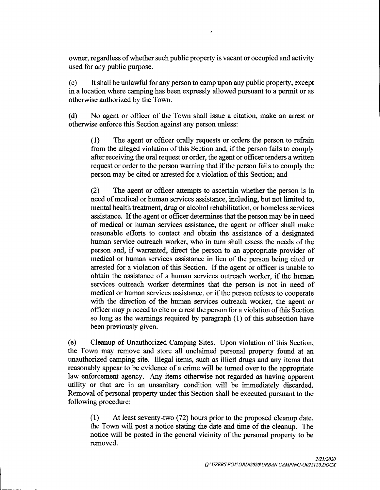owner, regardless of whether such public property is vacant or occupied and activity used for any public purpose.

c) It shall be unlawful for any person to camp upon any public property, except in a location where camping has been expressly allowed pursuant to a permit or as otherwise authorized by the Town.

d) No agent or officer of the Town shall issue a citation, make an arrest or otherwise enforce this Section against any person unless:

1) The agent or officer orally requests or orders the person to refrain from the alleged violation of this Section and, if the person fails to comply after receiving the oral request or order, the agent or officer tenders a written request or order to the person warning that if the person fails to comply the person may be cited or arrested for a violation of this Section; and

2) The agent or officer attempts to ascertain whether the person is in need of medical or human services assistance, including, but not limited to, mental health treatment, drug or alcohol rehabilitation, or homeless services assistance. If the agent or officer determines that the person may be in need of medical or human services assistance, the agent or officer shall make reasonable efforts to contact and obtain the assistance of a designated human service outreach worker, who in turn shall assess the needs of the person and, if warranted, direct the person to an appropriate provider of medical or human services assistance in lieu of the person being cited or arrested for a violation of this Section. If the agent or officer is unable to obtain the assistance of <sup>a</sup> human services outreach worker, if the human services outreach worker determines that the person is not in need of medical or human services assistance, or if the person refuses to cooperate with the direction of the human services outreach worker, the agent or officer may proceed to cite or arrest the person for <sup>a</sup> violation ofthis Section so long as the warnings required by paragraph (1) of this subsection have been previously given.

e) Cleanup of Unauthorized Camping Sites. Upon violation of this Section, the Town may remove and store all unclaimed personal property found at an unauthorized camping site. Illegal items, such as illicit drugs and any items that reasonably appear to be evidence of a crime will be turned over to the appropriate law enforcement agency. Any items otherwise not regarded as having apparent utility or that are in an unsanitary condition will be immediately discarded. Removal of personal property under this Section shall be executed pursuant to the following procedure:

1) At least seventy-two ( 72) hours prior to the proposed cleanup date, the Town will post <sup>a</sup> notice stating the date and time of the cleanup. The notice will be posted in the general vicinity of the personal property to be removed.